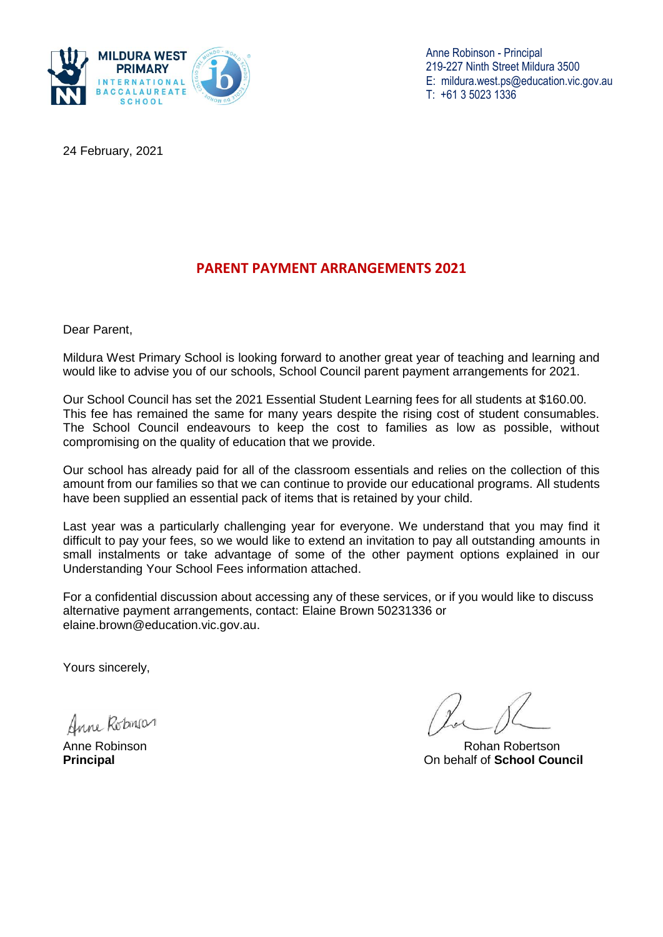

Anne Robinson - Principal 219-227 Ninth Street Mildura 3500 E: [mildura.west.ps@education.vic.gov.au](mailto:mildura.west.ps@education.vic.gov.au)  T: +61 3 5023 1336

24 February, 2021

# **PARENT PAYMENT ARRANGEMENTS 2021**

Dear Parent,

Mildura West Primary School is looking forward to another great year of teaching and learning and would like to advise you of our schools, School Council parent payment arrangements for 2021.

Our School Council has set the 2021 Essential Student Learning fees for all students at \$160.00. This fee has remained the same for many years despite the rising cost of student consumables. The School Council endeavours to keep the cost to families as low as possible, without compromising on the quality of education that we provide.

Our school has already paid for all of the classroom essentials and relies on the collection of this amount from our families so that we can continue to provide our educational programs. All students have been supplied an essential pack of items that is retained by your child.

Last year was a particularly challenging year for everyone. We understand that you may find it difficult to pay your fees, so we would like to extend an invitation to pay all outstanding amounts in small instalments or take advantage of some of the other payment options explained in our Understanding Your School Fees information attached.

For a confidential discussion about accessing any of these services, or if you would like to discuss alternative payment arrangements, contact: Elaine Brown 50231336 or elaine.brown@education.vic.gov.au.

Yours sincerely,

Anne Robinson

Anne Robinson **Robinson** Robertson Robertson Robertson Robertson Robertson **Principal** On behalf of **School Council**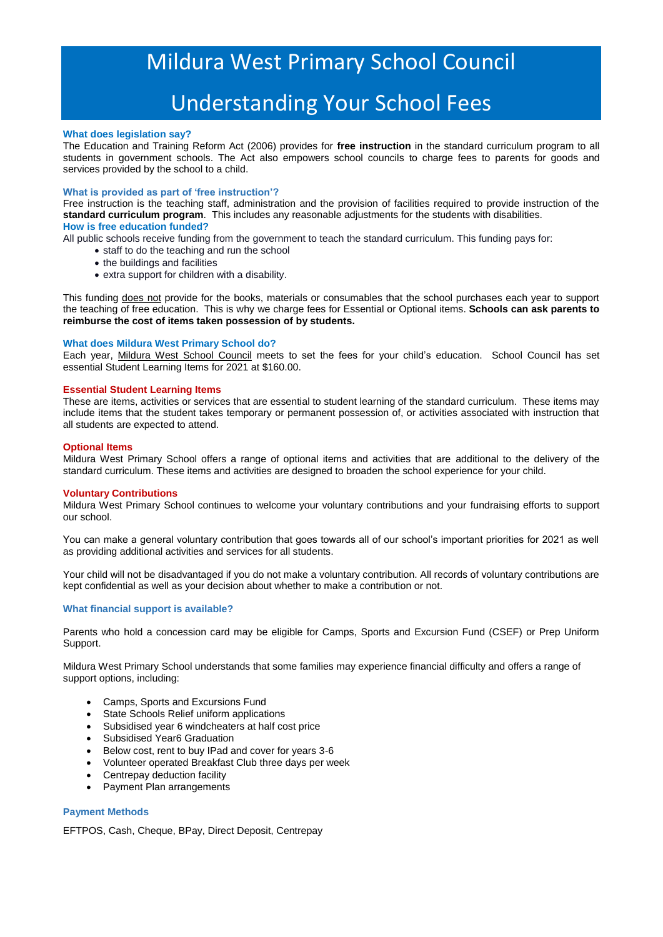# Mildura West Primary School Council

# Understanding Your School Fees

### **What does legislation say?**

The Education and Training Reform Act (2006) provides for **free instruction** in the standard curriculum program to all students in government schools. The Act also empowers school councils to charge fees to parents for goods and services provided by the school to a child.

#### **What is provided as part of 'free instruction'?**

Free instruction is the teaching staff, administration and the provision of facilities required to provide instruction of the **standard curriculum program**. This includes any reasonable adjustments for the students with disabilities. **How is free education funded?**

All public schools receive funding from the government to teach the standard curriculum. This funding pays for:

- staff to do the teaching and run the school
- the buildings and facilities
- extra support for children with a disability.

This funding does not provide for the books, materials or consumables that the school purchases each year to support the teaching of free education. This is why we charge fees for Essential or Optional items. **Schools can ask parents to reimburse the cost of items taken possession of by students.**

#### **What does Mildura West Primary School do?**

Each year, Mildura West School Council meets to set the fees for your child's education. School Council has set essential Student Learning Items for 2021 at \$160.00.

#### **Essential Student Learning Items**

These are items, activities or services that are essential to student learning of the standard curriculum. These items may include items that the student takes temporary or permanent possession of, or activities associated with instruction that all students are expected to attend.

#### **Optional Items**

Mildura West Primary School offers a range of optional items and activities that are additional to the delivery of the standard curriculum. These items and activities are designed to broaden the school experience for your child.

#### **Voluntary Contributions**

Mildura West Primary School continues to welcome your voluntary contributions and your fundraising efforts to support our school.

You can make a general voluntary contribution that goes towards all of our school's important priorities for 2021 as well as providing additional activities and services for all students.

Your child will not be disadvantaged if you do not make a voluntary contribution. All records of voluntary contributions are kept confidential as well as your decision about whether to make a contribution or not.

### **What financial support is available?**

Parents who hold a concession card may be eligible for Camps, Sports and Excursion Fund (CSEF) or Prep Uniform Support.

Mildura West Primary School understands that some families may experience financial difficulty and offers a range of support options, including:

- Camps, Sports and Excursions Fund
- State Schools Relief uniform applications
- Subsidised year 6 windcheaters at half cost price
- Subsidised Year6 Graduation
- Below cost, rent to buy IPad and cover for years 3-6
- Volunteer operated Breakfast Club three days per week
- Centrepay deduction facility
- Payment Plan arrangements

## **Payment Methods**

EFTPOS, Cash, Cheque, BPay, Direct Deposit, Centrepay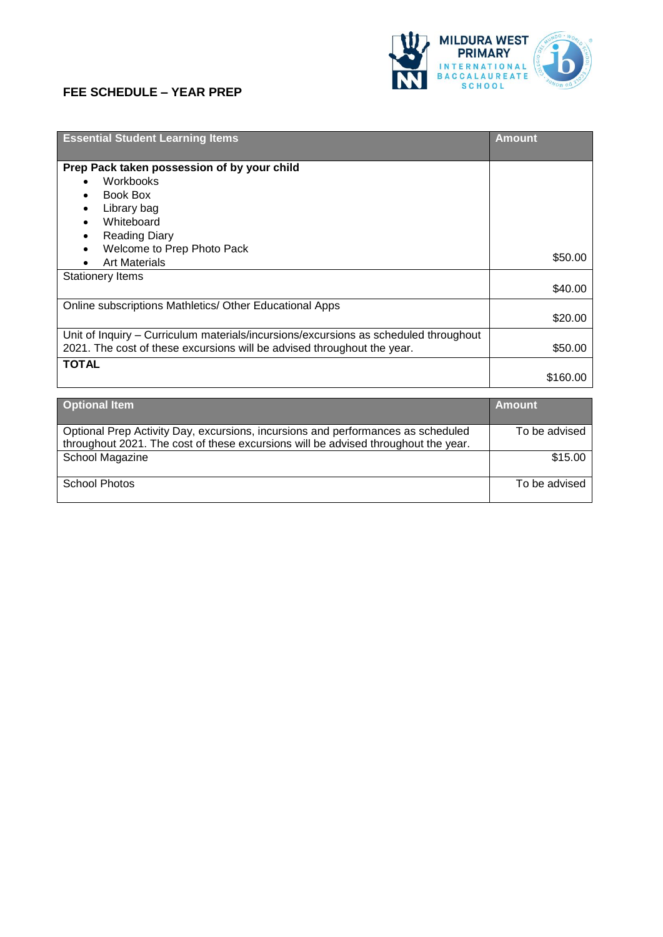## **FEE SCHEDULE – YEAR PREP**



| <b>Essential Student Learning Items</b>                                              | <b>Amount</b> |
|--------------------------------------------------------------------------------------|---------------|
| Prep Pack taken possession of by your child                                          |               |
| Workbooks                                                                            |               |
| Book Box                                                                             |               |
| Library bag                                                                          |               |
| Whiteboard                                                                           |               |
| <b>Reading Diary</b>                                                                 |               |
| Welcome to Prep Photo Pack                                                           |               |
| <b>Art Materials</b>                                                                 | \$50.00       |
| <b>Stationery Items</b>                                                              |               |
|                                                                                      | \$40.00       |
| Online subscriptions Mathletics/ Other Educational Apps                              |               |
|                                                                                      | \$20.00       |
| Unit of Inquiry – Curriculum materials/incursions/excursions as scheduled throughout |               |
| 2021. The cost of these excursions will be advised throughout the year.              | \$50.00       |
| <b>TOTAL</b>                                                                         |               |
|                                                                                      | \$160.00      |
|                                                                                      |               |
| <b>Ontional Item</b>                                                                 | <b>Amount</b> |

| <b>Optional Item</b>                                                               | <b>Amount</b> |
|------------------------------------------------------------------------------------|---------------|
| Optional Prep Activity Day, excursions, incursions and performances as scheduled   | To be advised |
| throughout 2021. The cost of these excursions will be advised throughout the year. |               |
| School Magazine                                                                    | \$15.00       |
|                                                                                    |               |
| School Photos                                                                      | To be advised |
|                                                                                    |               |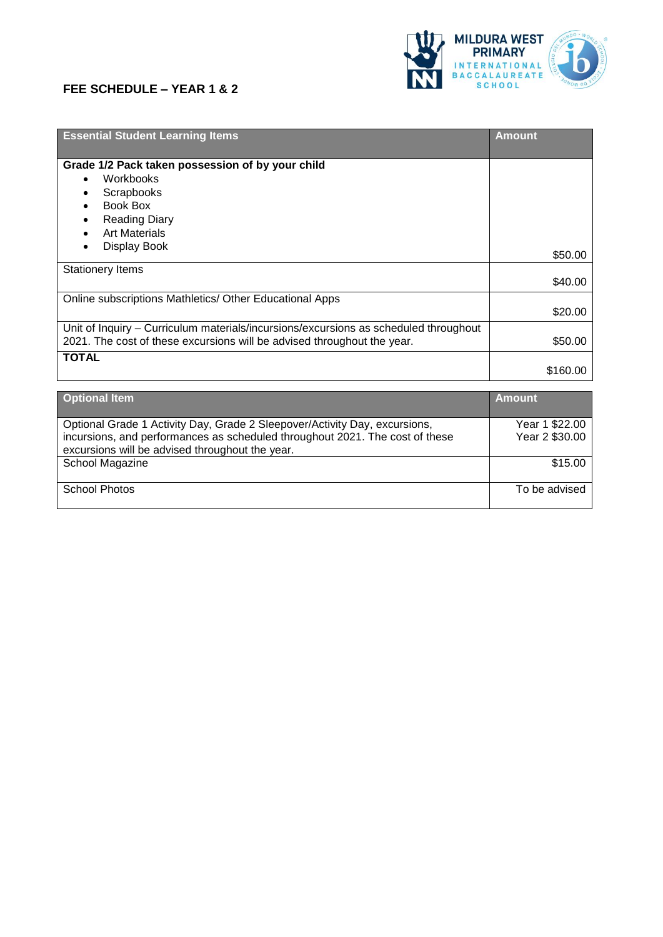## **FEE SCHEDULE – YEAR 1 & 2**



| <b>Essential Student Learning Items</b>                                              | <b>Amount</b> |
|--------------------------------------------------------------------------------------|---------------|
| Grade 1/2 Pack taken possession of by your child                                     |               |
| Workbooks                                                                            |               |
| Scrapbooks                                                                           |               |
| Book Box                                                                             |               |
| <b>Reading Diary</b>                                                                 |               |
| <b>Art Materials</b>                                                                 |               |
| Display Book                                                                         | \$50.00       |
| <b>Stationery Items</b>                                                              |               |
|                                                                                      | \$40.00       |
| Online subscriptions Mathletics/ Other Educational Apps                              |               |
|                                                                                      | \$20.00       |
| Unit of Inquiry – Curriculum materials/incursions/excursions as scheduled throughout |               |
| 2021. The cost of these excursions will be advised throughout the year.              | \$50.00       |
| <b>TOTAL</b>                                                                         |               |
|                                                                                      | \$160.00      |
|                                                                                      |               |
| <b>Optional Item</b>                                                                 | <b>Amount</b> |
|                                                                                      |               |

| Optional Grade 1 Activity Day, Grade 2 Sleepover/Activity Day, excursions,   | Year 1 \$22.00 |
|------------------------------------------------------------------------------|----------------|
| incursions, and performances as scheduled throughout 2021. The cost of these | Year 2 \$30.00 |
| excursions will be advised throughout the year.                              |                |
| School Magazine                                                              | \$15.00        |
|                                                                              |                |
| School Photos                                                                | To be advised  |
|                                                                              |                |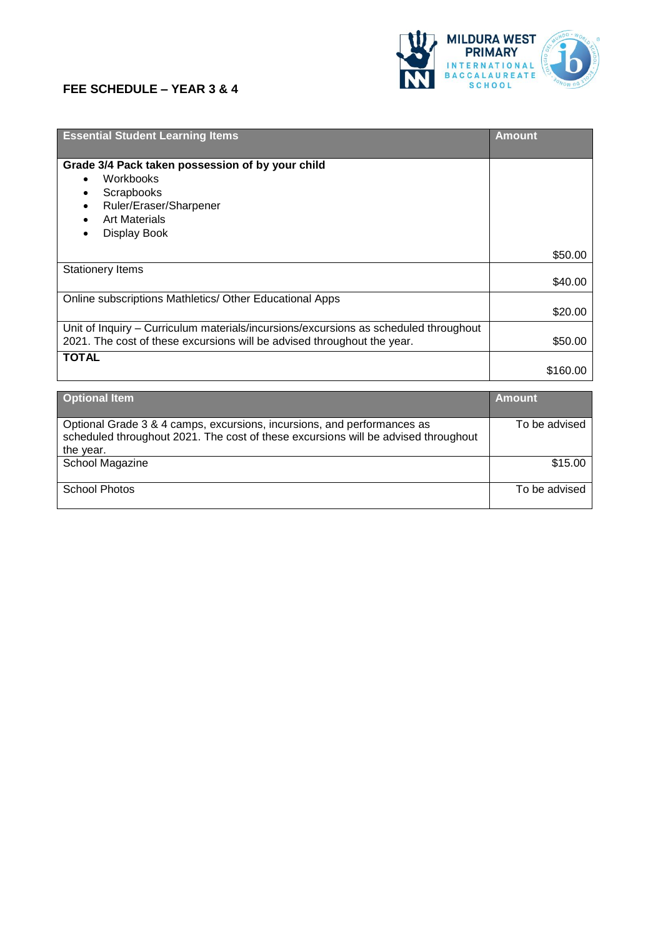## **FEE SCHEDULE – YEAR 3 & 4**



| <b>Essential Student Learning Items</b>                                              | <b>Amount</b> |
|--------------------------------------------------------------------------------------|---------------|
| Grade 3/4 Pack taken possession of by your child                                     |               |
| Workbooks                                                                            |               |
| Scrapbooks                                                                           |               |
| Ruler/Eraser/Sharpener                                                               |               |
| <b>Art Materials</b>                                                                 |               |
| Display Book                                                                         |               |
|                                                                                      | \$50.00       |
| <b>Stationery Items</b>                                                              |               |
|                                                                                      | \$40.00       |
| Online subscriptions Mathletics/ Other Educational Apps                              |               |
|                                                                                      | \$20.00       |
| Unit of Inquiry – Curriculum materials/incursions/excursions as scheduled throughout |               |
| 2021. The cost of these excursions will be advised throughout the year.              | \$50.00       |
| <b>TOTAL</b>                                                                         |               |
|                                                                                      | \$160.00      |
|                                                                                      |               |

| <b>Optional Item</b>                                                               | Amount        |
|------------------------------------------------------------------------------------|---------------|
| Optional Grade 3 & 4 camps, excursions, incursions, and performances as            | To be advised |
| scheduled throughout 2021. The cost of these excursions will be advised throughout |               |
| the year.                                                                          |               |
| School Magazine                                                                    | \$15.00       |
| <b>School Photos</b>                                                               | To be advised |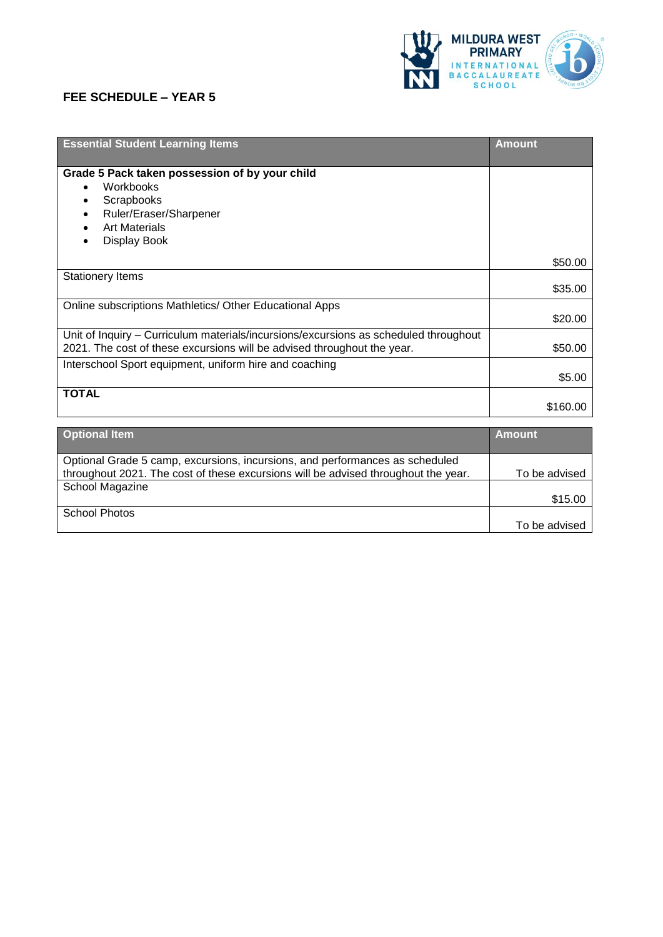## **FEE SCHEDULE – YEAR 5**



| <b>Essential Student Learning Items</b>                                              | <b>Amount</b> |
|--------------------------------------------------------------------------------------|---------------|
| Grade 5 Pack taken possession of by your child                                       |               |
| Workbooks                                                                            |               |
| Scrapbooks                                                                           |               |
| Ruler/Eraser/Sharpener                                                               |               |
| <b>Art Materials</b>                                                                 |               |
| Display Book                                                                         |               |
|                                                                                      | \$50.00       |
| <b>Stationery Items</b>                                                              |               |
|                                                                                      | \$35.00       |
| Online subscriptions Mathletics/ Other Educational Apps                              |               |
|                                                                                      | \$20.00       |
| Unit of Inquiry – Curriculum materials/incursions/excursions as scheduled throughout |               |
| 2021. The cost of these excursions will be advised throughout the year.              | \$50.00       |
| Interschool Sport equipment, uniform hire and coaching                               |               |
|                                                                                      | \$5.00        |
| <b>TOTAL</b>                                                                         |               |
|                                                                                      | \$160.00      |

| <b>Optional Item</b>                                                                                                                                                                  | <b>Amount</b> |
|---------------------------------------------------------------------------------------------------------------------------------------------------------------------------------------|---------------|
| Optional Grade 5 camp, excursions, incursions, and performances as scheduled<br>throughout 2021. The cost of these excursions will be advised throughout the year.<br>School Magazine | To be advised |
|                                                                                                                                                                                       | \$15.00       |
| <b>School Photos</b>                                                                                                                                                                  | To be advised |